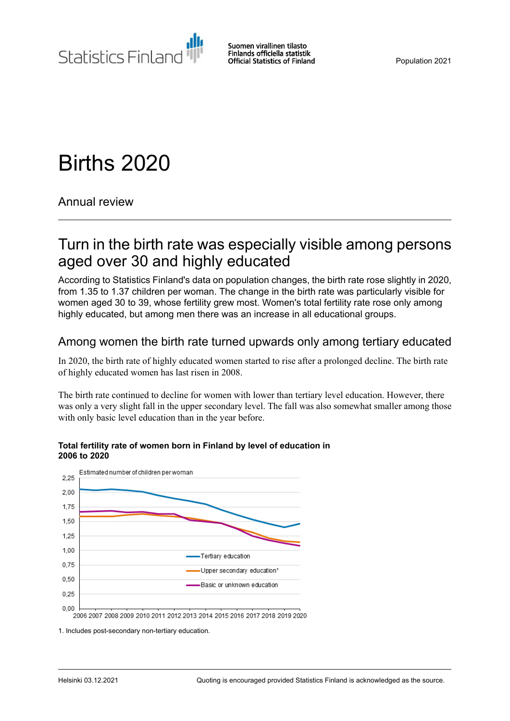

# Births 2020

Annual review

## Turn in the birth rate was especially visible among persons aged over 30 and highly educated

According to Statistics Finland's data on population changes, the birth rate rose slightly in 2020, from 1.35 to 1.37 children per woman. The change in the birth rate was particularly visible for women aged 30 to 39, whose fertility grew most. Women's total fertility rate rose only among highly educated, but among men there was an increase in all educational groups.

## Among women the birth rate turned upwards only among tertiary educated

In 2020, the birth rate of highly educated women started to rise after a prolonged decline. The birth rate of highly educated women has last risen in 2008.

The birth rate continued to decline for women with lower than tertiary level education. However, there was only a very slight fall in the upper secondary level. The fall was also somewhat smaller among those with only basic level education than in the year before.



#### **Total fertility rate of women born in Finland by level of education in 2006 to 2020**

1. Includes post-secondary non-tertiary education.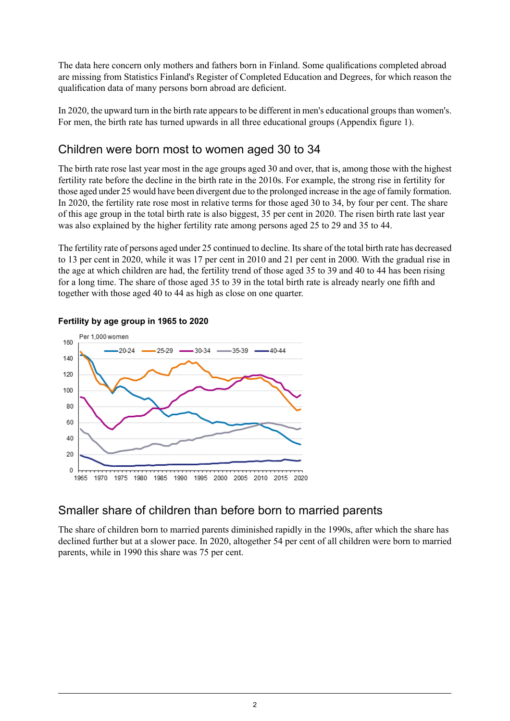The data here concern only mothers and fathers born in Finland. Some qualifications completed abroad are missing from Statistics Finland's Register of Completed Education and Degrees, for which reason the qualification data of many persons born abroad are deficient.

In 2020, the upward turn in the birth rate appears to be different in men's educational groups than women's. For men, the birth rate has turned upwards in all three educational groups (Appendix figure 1).

### Children were born most to women aged 30 to 34

The birth rate rose last year most in the age groups aged 30 and over, that is, among those with the highest fertility rate before the decline in the birth rate in the 2010s. For example, the strong rise in fertility for those aged under 25 would have been divergent due to the prolonged increase in the age of family formation. In 2020, the fertility rate rose most in relative terms for those aged 30 to 34, by four per cent. The share of this age group in the total birth rate is also biggest, 35 per cent in 2020. The risen birth rate last year was also explained by the higher fertility rate among persons aged 25 to 29 and 35 to 44.

The fertility rate of persons aged under 25 continued to decline. Itsshare of the total birth rate has decreased to 13 per cent in 2020, while it was 17 per cent in 2010 and 21 per cent in 2000. With the gradual rise in the age at which children are had, the fertility trend of those aged 35 to 39 and 40 to 44 has been rising for a long time. The share of those aged 35 to 39 in the total birth rate is already nearly one fifth and together with those aged 40 to 44 as high as close on one quarter.



### **Fertility by age group in 1965 to 2020**

## Smaller share of children than before born to married parents

The share of children born to married parents diminished rapidly in the 1990s, after which the share has declined further but at a slower pace. In 2020, altogether 54 per cent of all children were born to married parents, while in 1990 this share was 75 per cent.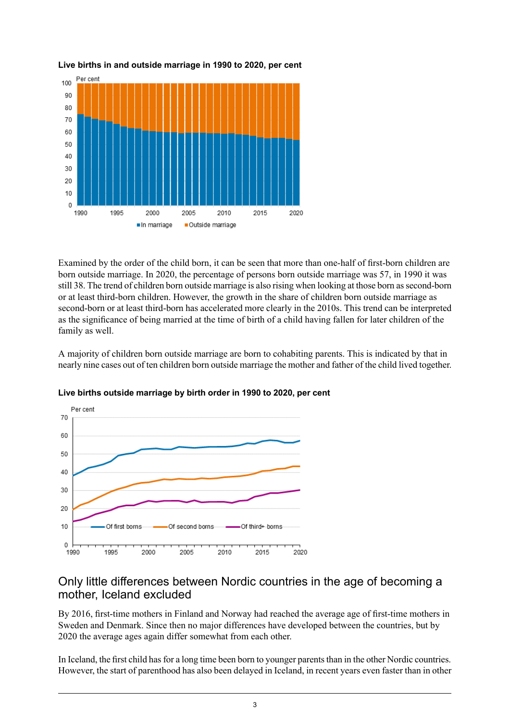

**Live births in and outside marriage in 1990 to 2020, per cent**

Examined by the order of the child born, it can be seen that more than one-half of first-born children are born outside marriage. In 2020, the percentage of persons born outside marriage was 57, in 1990 it was still 38. The trend of children born outside marriage is also rising when looking at those born as second-born or at least third-born children. However, the growth in the share of children born outside marriage as second-born or at least third-born has accelerated more clearly in the 2010s. This trend can be interpreted as the significance of being married at the time of birth of a child having fallen for later children of the family as well.

A majority of children born outside marriage are born to cohabiting parents. This is indicated by that in nearly nine cases out of ten children born outside marriage the mother and father of the child lived together.



**Live births outside marriage by birth order in 1990 to 2020, per cent**

### Only little differences between Nordic countries in the age of becoming a mother, Iceland excluded

By 2016, first-time mothers in Finland and Norway had reached the average age of first-time mothers in Sweden and Denmark. Since then no major differences have developed between the countries, but by 2020 the average ages again differ somewhat from each other.

In Iceland, the first child has for a long time been born to younger parents than in the other Nordic countries. However, the start of parenthood has also been delayed in Iceland, in recent years even faster than in other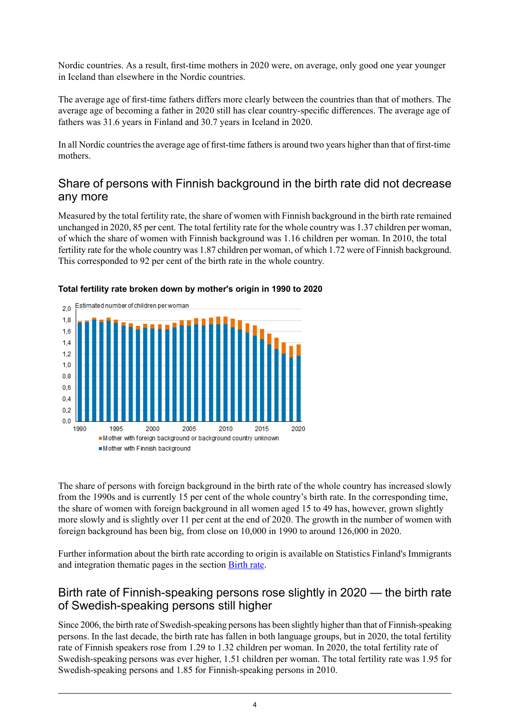Nordic countries. As a result, first-time mothers in 2020 were, on average, only good one year younger in Iceland than elsewhere in the Nordic countries.

The average age of first-time fathers differs more clearly between the countries than that of mothers. The average age of becoming a father in 2020 still has clear country-specific differences. The average age of fathers was 31.6 years in Finland and 30.7 years in Iceland in 2020.

In all Nordic countries the average age of first-time fathers is around two years higher than that of first-time mothers.

### Share of persons with Finnish background in the birth rate did not decrease any more

Measured by the total fertility rate, the share of women with Finnish background in the birth rate remained unchanged in 2020, 85 per cent. The total fertility rate for the whole country was 1.37 children per woman, of which the share of women with Finnish background was 1.16 children per woman. In 2010, the total fertility rate for the whole country was 1.87 children per woman, of which 1.72 were of Finnish background. This corresponded to 92 per cent of the birth rate in the whole country.



#### **Total fertility rate broken down by mother's origin in 1990 to 2020**

The share of persons with foreign background in the birth rate of the whole country has increased slowly from the 1990s and is currently 15 per cent of the whole country's birth rate. In the corresponding time, the share of women with foreign background in all women aged 15 to 49 has, however, grown slightly more slowly and is slightly over 11 per cent at the end of 2020. The growth in the number of women with foreign background has been big, from close on 10,000 in 1990 to around 126,000 in 2020.

Further information about the birth rate according to origin is available on Statistics Finland's Immigrants and integration thematic pages in the section [Birth](http://www.stat.fi/tup/maahanmuutto/perheet/syntyvyys.html) rate.

### Birth rate of Finnish-speaking persons rose slightly in 2020 — the birth rate of Swedish-speaking persons still higher

Since 2006, the birth rate of Swedish-speaking persons has been slightly higher than that of Finnish-speaking persons. In the last decade, the birth rate has fallen in both language groups, but in 2020, the total fertility rate of Finnish speakers rose from 1.29 to 1.32 children per woman. In 2020, the total fertility rate of Swedish-speaking persons was ever higher, 1.51 children per woman. The total fertility rate was 1.95 for Swedish-speaking persons and 1.85 for Finnish-speaking persons in 2010.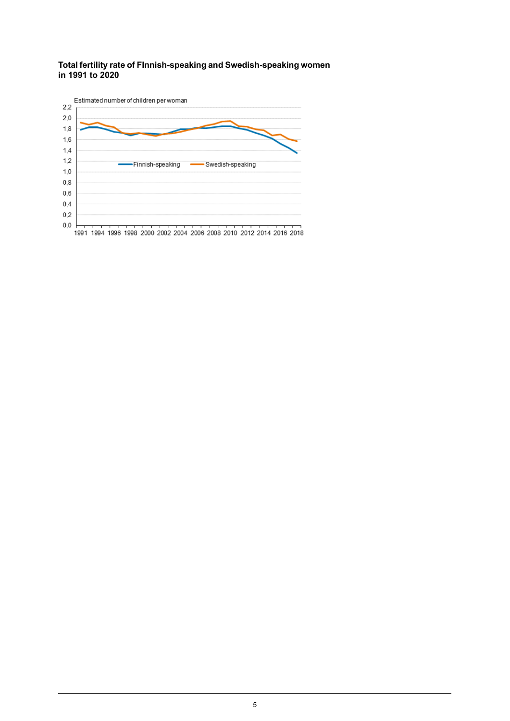#### **Total fertilityrate of FInnish-speaking and Swedish-speaking women in 1991 to 2020**



1991 1994 1996 1998 2000 2002 2004 2006 2008 2010 2012 2014 2016 2018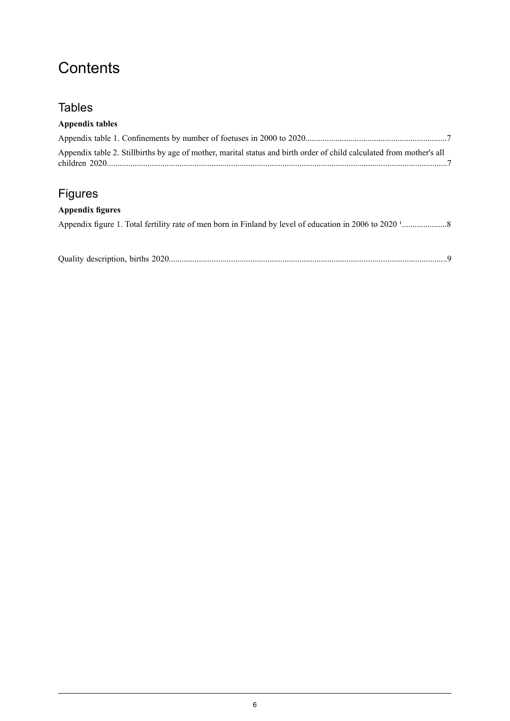## **Contents**

## Tables

### **Appendix tables**

| Appendix table 2. Stillbirths by age of mother, marital status and birth order of child calculated from mother's all |  |
|----------------------------------------------------------------------------------------------------------------------|--|

## Figures

### **Appendix figures**

Appendix figure 1. Total fertility rate of men born in Finland by level of education in 2006 to 2020 [¹.....................8](#page-7-0)

Quality description, births [2020..................................................................................................................................9](#page-8-0)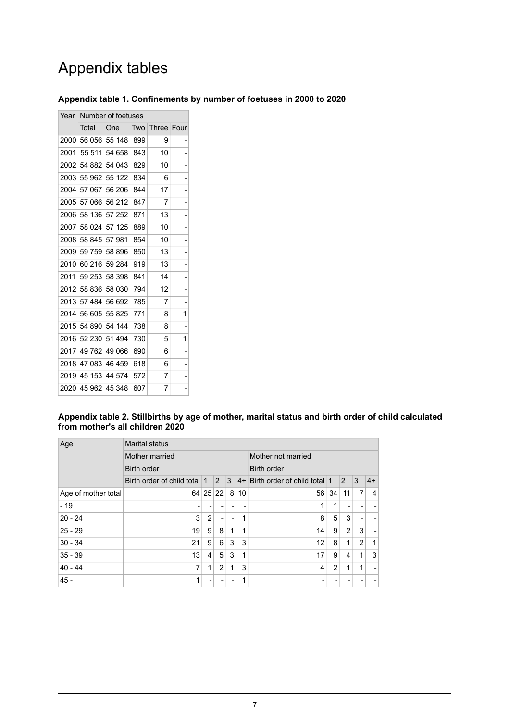## Appendix tables

### <span id="page-6-0"></span>**Appendix table 1. Confinements by number of foetuses in 2000 to 2020**

| Number of foetuses<br>Year |                    |        |     |              |      |  |  |
|----------------------------|--------------------|--------|-----|--------------|------|--|--|
|                            | Total              | One    | Two | <b>Three</b> | Four |  |  |
| 2000                       | 56 056             | 55 148 | 899 | 9            |      |  |  |
| 2001                       | 55 511             | 54 658 | 843 | 10           |      |  |  |
| 2002                       | 54 882             | 54 043 | 829 | 10           |      |  |  |
| 2003                       | 55 962             | 55 122 | 834 | 6            |      |  |  |
| 2004                       | 57 067             | 56 206 | 844 | 17           |      |  |  |
| 2005                       | 57 066             | 56 212 | 847 | 7            |      |  |  |
| 2006                       | 58 136             | 57 252 | 871 | 13           |      |  |  |
| 2007                       | 58 024             | 57 125 | 889 | 10           |      |  |  |
| 2008                       | 58 845             | 57981  | 854 | 10           | -    |  |  |
| 2009                       | 59 759             | 58 896 | 850 | 13           |      |  |  |
| 2010                       | 60 216             | 59 284 | 919 | 13           |      |  |  |
| 2011                       | 59 253             | 58 398 | 841 | 14           |      |  |  |
| 2012                       | 58 836             | 58 030 | 794 | 12           |      |  |  |
| 2013                       | 57 484             | 56 692 | 785 | 7            | -    |  |  |
| 2014                       | 56 605             | 55 825 | 771 | 8            | 1    |  |  |
| 2015                       | 54 890             | 54 144 | 738 | 8            | ۰    |  |  |
| 2016                       | 52 230             | 51 494 | 730 | 5            | 1    |  |  |
| 2017                       | 49 762             | 49 066 | 690 | 6            |      |  |  |
| 2018                       | 47 083             | 46 459 | 618 | 6            |      |  |  |
| 2019                       | 45 153             | 44 574 | 572 | 7            |      |  |  |
|                            | 2020 45 962 45 348 |        | 607 | 7            |      |  |  |

#### <span id="page-6-1"></span>**Appendix table 2. Stillbirths by age of mother, marital status and birth order of child calculated from mother's all children 2020**

| Age                 | <b>Marital status</b>                |    |                |   |                    |                              |    |                |                |      |
|---------------------|--------------------------------------|----|----------------|---|--------------------|------------------------------|----|----------------|----------------|------|
|                     | Mother married<br><b>Birth order</b> |    |                |   | Mother not married |                              |    |                |                |      |
|                     |                                      |    |                |   | <b>Birth order</b> |                              |    |                |                |      |
|                     | Birth order of child total 1         |    | 2              | 3 | $ 4+$              | Birth order of child total 1 |    | 2              | 3              | $4+$ |
| Age of mother total | 64                                   | 25 | 22             | 8 | 10                 | 56                           | 34 | 11             | 7              | 4    |
| $-19$               |                                      |    |                |   |                    |                              | 1  |                |                |      |
| $20 - 24$           | 3                                    | 2  |                |   | 1                  | 8                            | 5  | 3              |                |      |
| $25 - 29$           | 19                                   | 9  | 8              | 1 | 1                  | 14                           | 9  | $\overline{2}$ | 3              |      |
| $30 - 34$           | 21                                   | 9  | 6              | 3 | 3                  | 12                           | 8  | 1              | $\overline{2}$ | 1    |
| $35 - 39$           | 13                                   | 4  | 5              | 3 | 1                  | 17                           | 9  | 4              | 1              | 3    |
| $40 - 44$           | 7                                    | 1  | $\overline{2}$ | 1 | 3                  | 4                            | 2  | 1              | 1              |      |
| $45 -$              | 1                                    |    |                |   |                    |                              |    |                |                |      |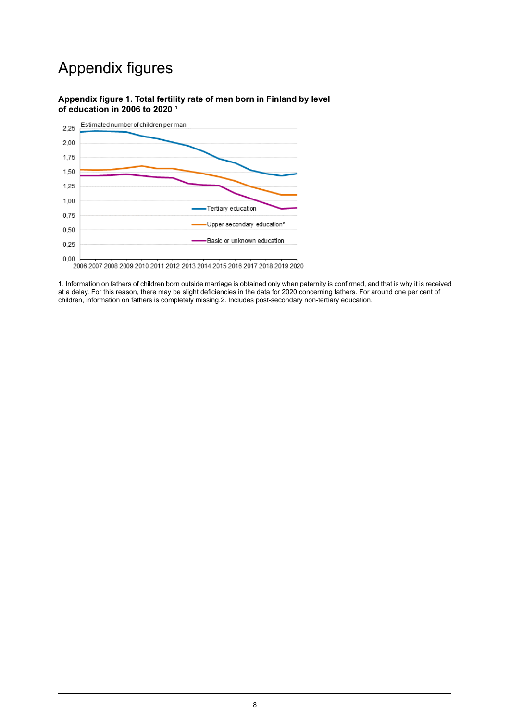## Appendix figures

#### <span id="page-7-0"></span>**Appendix figure 1. Total fertility rate of men born in Finland by level of education in 2006 to 2020 ¹**



1. Information on fathers of children born outside marriage is obtained only when paternity is confirmed, and that is why it is received at a delay. For this reason, there may be slight deficiencies in the data for 2020 concerning fathers. For around one per cent of children, information on fathers is completely missing.2. Includes post-secondary non-tertiary education.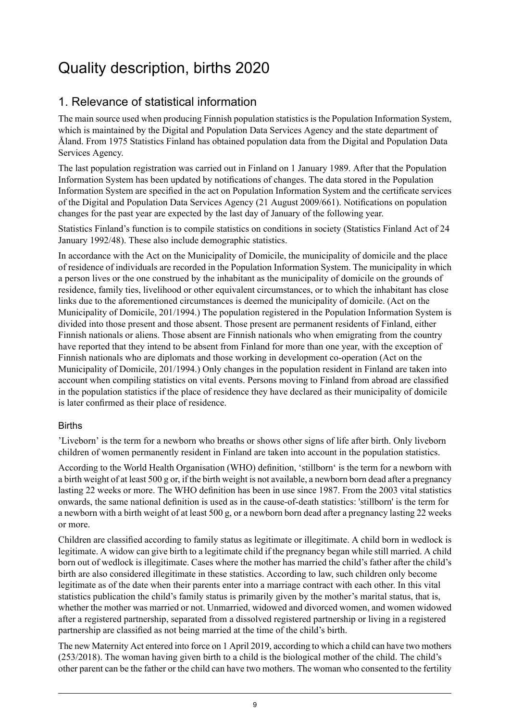## <span id="page-8-0"></span>Quality description, births 2020

## 1. Relevance of statistical information

The main source used when producing Finnish population statistics is the Population Information System, which is maintained by the Digital and Population Data Services Agency and the state department of Åland. From 1975 Statistics Finland has obtained population data from the Digital and Population Data Services Agency.

The last population registration was carried out in Finland on 1 January 1989. After that the Population Information System has been updated by notifications of changes. The data stored in the Population Information System are specified in the act on Population Information System and the certificate services of the Digital and Population Data Services Agency (21 August 2009/661). Notifications on population changes for the past year are expected by the last day of January of the following year.

Statistics Finland's function is to compile statistics on conditions in society (Statistics Finland Act of 24 January 1992/48). These also include demographic statistics.

In accordance with the Act on the Municipality of Domicile, the municipality of domicile and the place of residence of individuals are recorded in the Population Information System. The municipality in which a person lives or the one construed by the inhabitant as the municipality of domicile on the grounds of residence, family ties, livelihood or other equivalent circumstances, or to which the inhabitant has close links due to the aforementioned circumstances is deemed the municipality of domicile. (Act on the Municipality of Domicile, 201/1994.) The population registered in the Population Information System is divided into those present and those absent. Those present are permanent residents of Finland, either Finnish nationals or aliens. Those absent are Finnish nationals who when emigrating from the country have reported that they intend to be absent from Finland for more than one year, with the exception of Finnish nationals who are diplomats and those working in development co-operation (Act on the Municipality of Domicile, 201/1994.) Only changes in the population resident in Finland are taken into account when compiling statistics on vital events. Persons moving to Finland from abroad are classified in the population statistics if the place of residence they have declared as their municipality of domicile is later confirmed as their place of residence.

### Births

'Liveborn' is the term for a newborn who breaths or shows other signs of life after birth. Only liveborn children of women permanently resident in Finland are taken into account in the population statistics.

According to the World Health Organisation (WHO) definition, 'stillborn' is the term for a newborn with a birth weight of at least 500 g or, if the birth weight is not available, a newborn born dead after a pregnancy lasting 22 weeks or more. The WHO definition has been in use since 1987. From the 2003 vital statistics onwards, the same national definition is used as in the cause-of-death statistics: 'stillborn' is the term for a newborn with a birth weight of at least 500 g, or a newborn born dead after a pregnancy lasting 22 weeks or more.

Children are classified according to family status as legitimate or illegitimate. A child born in wedlock is legitimate. A widow can give birth to a legitimate child if the pregnancy began while still married. A child born out of wedlock is illegitimate. Cases where the mother has married the child's father after the child's birth are also considered illegitimate in these statistics. According to law, such children only become legitimate as of the date when their parents enter into a marriage contract with each other. In this vital statistics publication the child's family status is primarily given by the mother's marital status, that is, whether the mother was married or not. Unmarried, widowed and divorced women, and women widowed after a registered partnership, separated from a dissolved registered partnership or living in a registered partnership are classified as not being married at the time of the child's birth.

The new Maternity Act entered into force on 1 April 2019, according to which a child can have two mothers (253/2018). The woman having given birth to a child is the biological mother of the child. The child's other parent can be the father or the child can have two mothers. The woman who consented to the fertility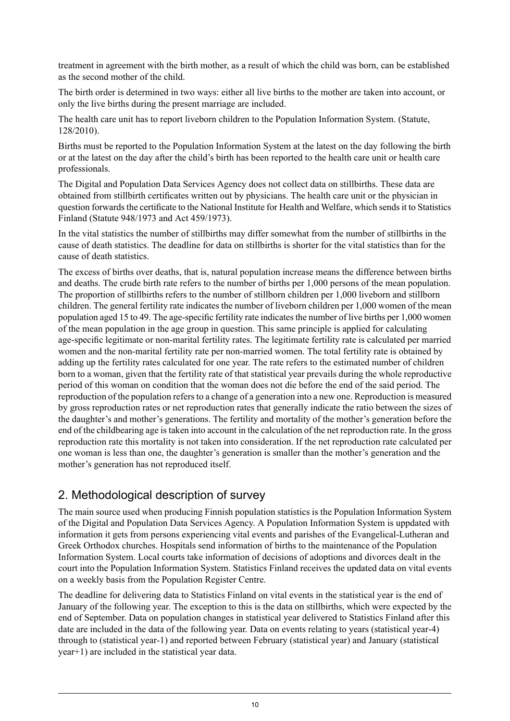treatment in agreement with the birth mother, as a result of which the child was born, can be established as the second mother of the child.

The birth order is determined in two ways: either all live births to the mother are taken into account, or only the live births during the present marriage are included.

The health care unit has to report liveborn children to the Population Information System. (Statute, 128/2010).

Births must be reported to the Population Information System at the latest on the day following the birth or at the latest on the day after the child's birth has been reported to the health care unit or health care professionals.

The Digital and Population Data Services Agency does not collect data on stillbirths. These data are obtained from stillbirth certificates written out by physicians. The health care unit or the physician in question forwards the certificate to the National Institute for Health and Welfare, which sends it to Statistics Finland (Statute 948/1973 and Act 459/1973).

In the vital statistics the number of stillbirths may differ somewhat from the number of stillbirths in the cause of death statistics. The deadline for data on stillbirths is shorter for the vital statistics than for the cause of death statistics.

The excess of births over deaths, that is, natural population increase means the difference between births and deaths. The crude birth rate refers to the number of births per 1,000 persons of the mean population. The proportion of stillbirths refers to the number of stillborn children per 1,000 liveborn and stillborn children. The general fertility rate indicates the number of liveborn children per 1,000 women of the mean population aged 15 to 49. The age-specific fertility rate indicates the number of live births per 1,000 women of the mean population in the age group in question. This same principle is applied for calculating age-specific legitimate or non-marital fertility rates. The legitimate fertility rate is calculated per married women and the non-marital fertility rate per non-married women. The total fertility rate is obtained by adding up the fertility rates calculated for one year. The rate refers to the estimated number of children born to a woman, given that the fertility rate of that statistical year prevails during the whole reproductive period of this woman on condition that the woman does not die before the end of the said period. The reproduction of the population refers to a change of a generation into a new one. Reproduction is measured by gross reproduction rates or net reproduction rates that generally indicate the ratio between the sizes of the daughter's and mother's generations. The fertility and mortality of the mother's generation before the end of the childbearing age is taken into account in the calculation of the net reproduction rate. In the gross reproduction rate this mortality is not taken into consideration. If the net reproduction rate calculated per one woman is less than one, the daughter's generation is smaller than the mother's generation and the mother's generation has not reproduced itself.

## 2. Methodological description of survey

The main source used when producing Finnish population statistics is the Population Information System of the Digital and Population Data Services Agency. A Population Information System is uppdated with information it gets from persons experiencing vital events and parishes of the Evangelical-Lutheran and Greek Orthodox churches. Hospitals send information of births to the maintenance of the Population Information System. Local courts take information of decisions of adoptions and divorces dealt in the court into the Population Information System. Statistics Finland receives the updated data on vital events on a weekly basis from the Population Register Centre.

The deadline for delivering data to Statistics Finland on vital events in the statistical year is the end of January of the following year. The exception to this is the data on stillbirths, which were expected by the end of September. Data on population changes in statistical year delivered to Statistics Finland after this date are included in the data of the following year. Data on events relating to years (statistical year-4) through to (statistical year-1) and reported between February (statistical year) and January (statistical year+1) are included in the statistical year data.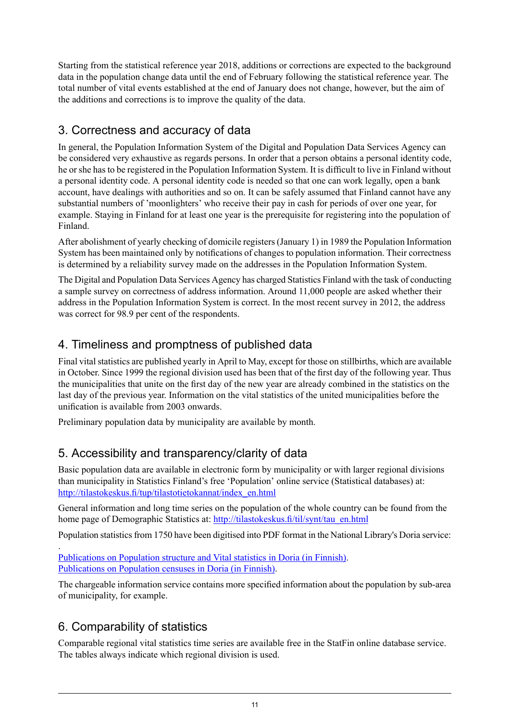Starting from the statistical reference year 2018, additions or corrections are expected to the background data in the population change data until the end of February following the statistical reference year. The total number of vital events established at the end of January does not change, however, but the aim of the additions and corrections is to improve the quality of the data.

## 3. Correctness and accuracy of data

In general, the Population Information System of the Digital and Population Data Services Agency can be considered very exhaustive as regards persons. In order that a person obtains a personal identity code, he or she has to be registered in the Population Information System. It is difficult to live in Finland without a personal identity code. A personal identity code is needed so that one can work legally, open a bank account, have dealings with authorities and so on. It can be safely assumed that Finland cannot have any substantial numbers of 'moonlighters' who receive their pay in cash for periods of over one year, for example. Staying in Finland for at least one year is the prerequisite for registering into the population of Finland.

After abolishment of yearly checking of domicile registers (January 1) in 1989 the Population Information System has been maintained only by notifications of changes to population information. Their correctness is determined by a reliability survey made on the addresses in the Population Information System.

The Digital and Population Data Services Agency has charged Statistics Finland with the task of conducting a sample survey on correctness of address information. Around 11,000 people are asked whether their address in the Population Information System is correct. In the most recent survey in 2012, the address was correct for 98.9 per cent of the respondents.

## 4. Timeliness and promptness of published data

Final vital statistics are published yearly in April to May, except for those on stillbirths, which are available in October. Since 1999 the regional division used has been that of the first day of the following year. Thus the municipalities that unite on the first day of the new year are already combined in the statistics on the last day of the previous year. Information on the vital statistics of the united municipalities before the unification is available from 2003 onwards.

Preliminary population data by municipality are available by month.

## 5. Accessibility and transparency/clarity of data

Basic population data are available in electronic form by municipality or with larger regional divisions than municipality in Statistics Finland's free 'Population' online service (Statistical databases) at: [http://tilastokeskus.fi/tup/tilastotietokannat/index\\_en.html](http://tilastokeskus.fi/tup/tilastotietokannat/index_en.html)

General information and long time series on the population of the whole country can be found from the home page of Demographic Statistics at: [http://tilastokeskus.fi/til/synt/tau\\_en.html](http://tilastokeskus.fi/til/synt/tau_en.html)

Population statistics from 1750 have been digitised into PDF format in the National Library's Doria service:

. [Publications](http://www.doria.fi/handle/10024/67161) on Population structure and Vital statistics in Doria (in Finnish). [Publications](http://www.doria.fi/handle/10024/67160) on Population censuses in Doria (in Finnish).

The chargeable information service contains more specified information about the population by sub-area of municipality, for example.

## 6. Comparability of statistics

Comparable regional vital statistics time series are available free in the StatFin online database service. The tables always indicate which regional division is used.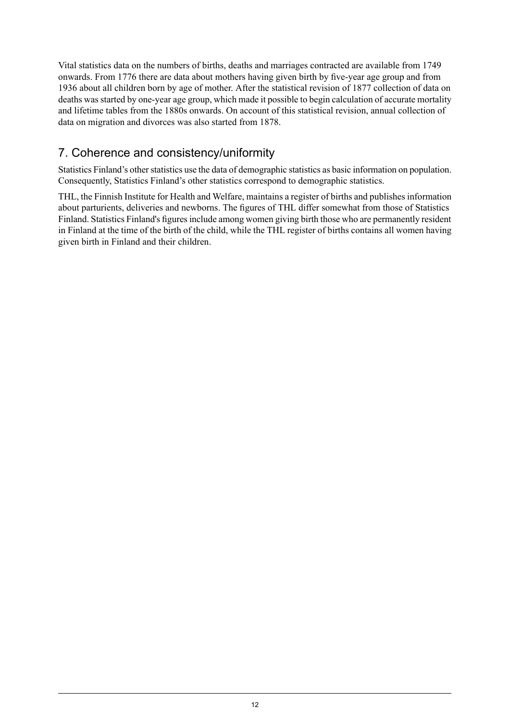Vital statistics data on the numbers of births, deaths and marriages contracted are available from 1749 onwards. From 1776 there are data about mothers having given birth by five-year age group and from 1936 about all children born by age of mother. After the statistical revision of 1877 collection of data on deaths was started by one-year age group, which made it possible to begin calculation of accurate mortality and lifetime tables from the 1880s onwards. On account of this statistical revision, annual collection of data on migration and divorces was also started from 1878.

## 7. Coherence and consistency/uniformity

Statistics Finland's other statistics use the data of demographic statistics as basic information on population. Consequently, Statistics Finland's other statistics correspond to demographic statistics.

THL, the Finnish Institute for Health and Welfare, maintains a register of births and publishes information about parturients, deliveries and newborns. The figures of THL differ somewhat from those of Statistics Finland. Statistics Finland's figures include among women giving birth those who are permanently resident in Finland at the time of the birth of the child, while the THL register of births contains all women having given birth in Finland and their children.